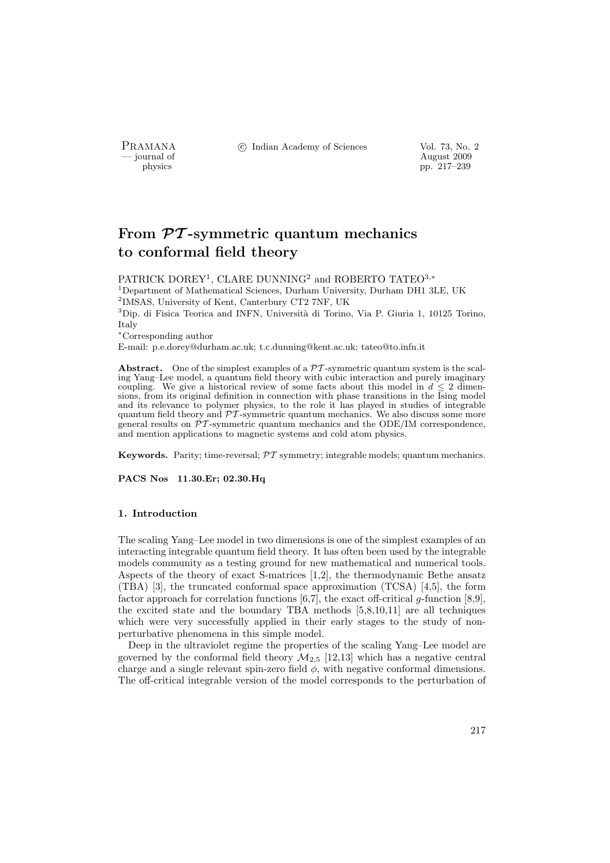PRAMANA °c Indian Academy of Sciences Vol. 73, No. 2

physics and the contract of August 2009 physics and the contract of August 2009 pp. 217–239 pp. 217–239

# From  $\mathcal{P}\mathcal{T}$ -symmetric quantum mechanics to conformal field theory

 $\mathrm{PATRICK\ DOREV^{1}},$  CLARE DUNNING<sup>2</sup> and ROBERTO TATEO<sup>3,</sup>\* <sup>1</sup>Department of Mathematical Sciences, Durham University, Durham DH1 3LE, UK 2 IMSAS, University of Kent, Canterbury CT2 7NF, UK  $3$ Dip. di Fisica Teorica and INFN, Università di Torino, Via P. Giuria 1, 10125 Torino, Italy <sup>∗</sup>Corresponding author

E-mail: p.e.dorey@durham.ac.uk; t.c.dunning@kent.ac.uk; tateo@to.infn.it

**Abstract.** One of the simplest examples of a  $\mathcal{PT}$ -symmetric quantum system is the scaling Yang–Lee model, a quantum field theory with cubic interaction and purely imaginary coupling. We give a historical review of some facts about this model in  $d \leq 2$  dimensions, from its original definition in connection with phase transitions in the Ising model and its relevance to polymer physics, to the role it has played in studies of integrable quantum field theory and  $\overline{PT}$ -symmetric quantum mechanics. We also discuss some more general results on  $\mathcal{PT}$ -symmetric quantum mechanics and the ODE/IM correspondence, and mention applications to magnetic systems and cold atom physics.

**Keywords.** Parity; time-reversal;  $\mathcal{PT}$  symmetry; integrable models; quantum mechanics.

PACS Nos 11.30.Er; 02.30.Hq

#### 1. Introduction

The scaling Yang–Lee model in two dimensions is one of the simplest examples of an interacting integrable quantum field theory. It has often been used by the integrable models community as a testing ground for new mathematical and numerical tools. Aspects of the theory of exact S-matrices [1,2], the thermodynamic Bethe ansatz (TBA) [3], the truncated conformal space approximation (TCSA) [4,5], the form factor approach for correlation functions  $[6,7]$ , the exact off-critical g-function  $[8,9]$ , the excited state and the boundary TBA methods [5,8,10,11] are all techniques which were very successfully applied in their early stages to the study of nonperturbative phenomena in this simple model.

Deep in the ultraviolet regime the properties of the scaling Yang–Lee model are governed by the conformal field theory  $\mathcal{M}_{2.5}$  [12,13] which has a negative central charge and a single relevant spin-zero field  $\phi$ , with negative conformal dimensions. The off-critical integrable version of the model corresponds to the perturbation of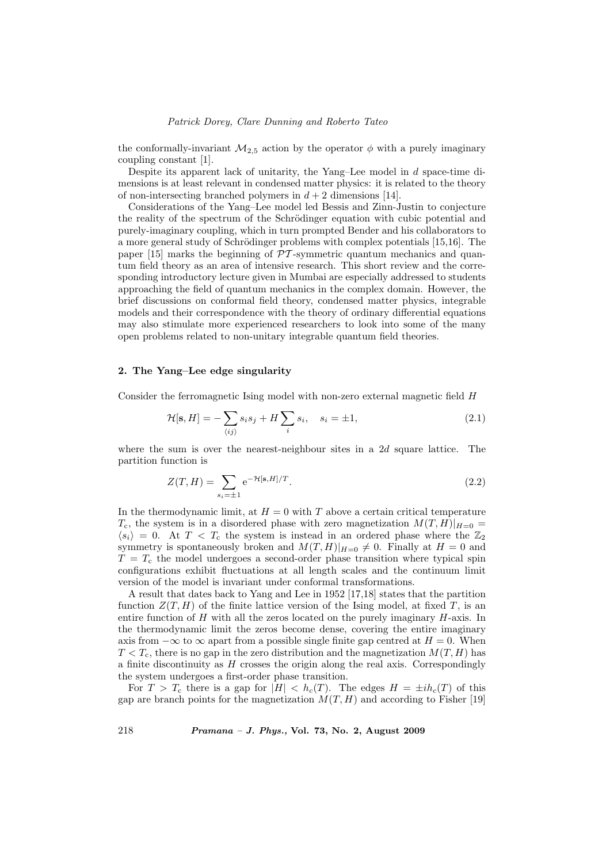the conformally-invariant  $\mathcal{M}_{2,5}$  action by the operator  $\phi$  with a purely imaginary coupling constant [1].

Despite its apparent lack of unitarity, the Yang–Lee model in  $d$  space-time dimensions is at least relevant in condensed matter physics: it is related to the theory of non-intersecting branched polymers in  $d + 2$  dimensions [14].

Considerations of the Yang–Lee model led Bessis and Zinn-Justin to conjecture the reality of the spectrum of the Schrödinger equation with cubic potential and purely-imaginary coupling, which in turn prompted Bender and his collaborators to a more general study of Schrödinger problems with complex potentials [15,16]. The paper  $[15]$  marks the beginning of  $\mathcal{P}\mathcal{T}$ -symmetric quantum mechanics and quantum field theory as an area of intensive research. This short review and the corresponding introductory lecture given in Mumbai are especially addressed to students approaching the field of quantum mechanics in the complex domain. However, the brief discussions on conformal field theory, condensed matter physics, integrable models and their correspondence with the theory of ordinary differential equations may also stimulate more experienced researchers to look into some of the many open problems related to non-unitary integrable quantum field theories.

#### 2. The Yang–Lee edge singularity

Consider the ferromagnetic Ising model with non-zero external magnetic field H

$$
\mathcal{H}[\mathbf{s}, H] = -\sum_{\langle ij \rangle} s_i s_j + H \sum_i s_i, \quad s_i = \pm 1,\tag{2.1}
$$

where the sum is over the nearest-neighbour sites in a  $2d$  square lattice. The partition function is

$$
Z(T, H) = \sum_{s_i = \pm 1} e^{-\mathcal{H}[\mathbf{s}, H]/T}.
$$
 (2.2)

In the thermodynamic limit, at  $H = 0$  with T above a certain critical temperature  $T_c$ , the system is in a disordered phase with zero magnetization  $M(T, H)|_{H=0}$  $\langle s_i \rangle = 0$ . At  $T < T_c$  the system is instead in an ordered phase where the  $\mathbb{Z}_2$ symmetry is spontaneously broken and  $M(T, H)|_{H=0} \neq 0$ . Finally at  $H = 0$  and  $T = T_c$  the model undergoes a second-order phase transition where typical spin configurations exhibit fluctuations at all length scales and the continuum limit version of the model is invariant under conformal transformations.

A result that dates back to Yang and Lee in 1952 [17,18] states that the partition function  $Z(T, H)$  of the finite lattice version of the Ising model, at fixed T, is an entire function of  $H$  with all the zeros located on the purely imaginary  $H$ -axis. In the thermodynamic limit the zeros become dense, covering the entire imaginary axis from  $-\infty$  to  $\infty$  apart from a possible single finite gap centred at  $H = 0$ . When  $T < T_c$ , there is no gap in the zero distribution and the magnetization  $M(T, H)$  has a finite discontinuity as  $H$  crosses the origin along the real axis. Correspondingly the system undergoes a first-order phase transition.

For  $T > T_c$  there is a gap for  $|H| < h_c(T)$ . The edges  $H = \pm ih_c(T)$  of this gap are branch points for the magnetization  $M(T, H)$  and according to Fisher [19]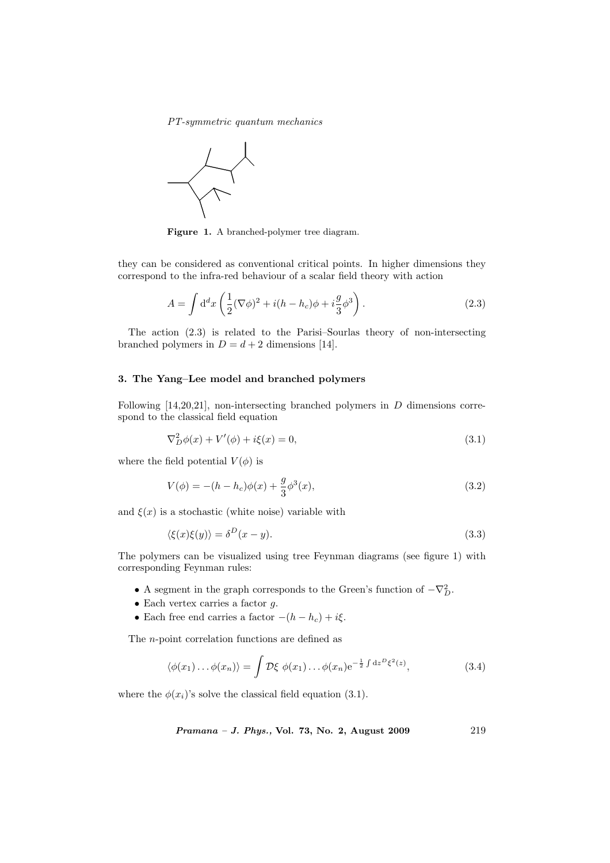PT-symmetric quantum mechanics



Figure 1. A branched-polymer tree diagram.

they can be considered as conventional critical points. In higher dimensions they correspond to the infra-red behaviour of a scalar field theory with action

$$
A = \int d^d x \left( \frac{1}{2} (\nabla \phi)^2 + i(h - h_c) \phi + i \frac{g}{3} \phi^3 \right). \tag{2.3}
$$

The action (2.3) is related to the Parisi–Sourlas theory of non-intersecting branched polymers in  $D = d + 2$  dimensions [14].

#### 3. The Yang–Lee model and branched polymers

Following [14,20,21], non-intersecting branched polymers in D dimensions correspond to the classical field equation

$$
\nabla^2 D \phi(x) + V'(\phi) + i\xi(x) = 0,
$$
\n(3.1)

where the field potential  $V(\phi)$  is

$$
V(\phi) = -(h - h_c)\phi(x) + \frac{g}{3}\phi^3(x),
$$
\n(3.2)

and  $\xi(x)$  is a stochastic (white noise) variable with

$$
\langle \xi(x)\xi(y)\rangle = \delta^D(x-y). \tag{3.3}
$$

The polymers can be visualized using tree Feynman diagrams (see figure 1) with corresponding Feynman rules:

- A segment in the graph corresponds to the Green's function of  $-\nabla_D^2$ .
- Each vertex carries a factor  $g$ .
- Each free end carries a factor  $-(h h_c) + i\xi$ .

The n-point correlation functions are defined as

$$
\langle \phi(x_1) \dots \phi(x_n) \rangle = \int \mathcal{D}\xi \ \phi(x_1) \dots \phi(x_n) e^{-\frac{1}{2} \int dz^D \xi^2(z)}, \tag{3.4}
$$

where the  $\phi(x_i)$ 's solve the classical field equation (3.1).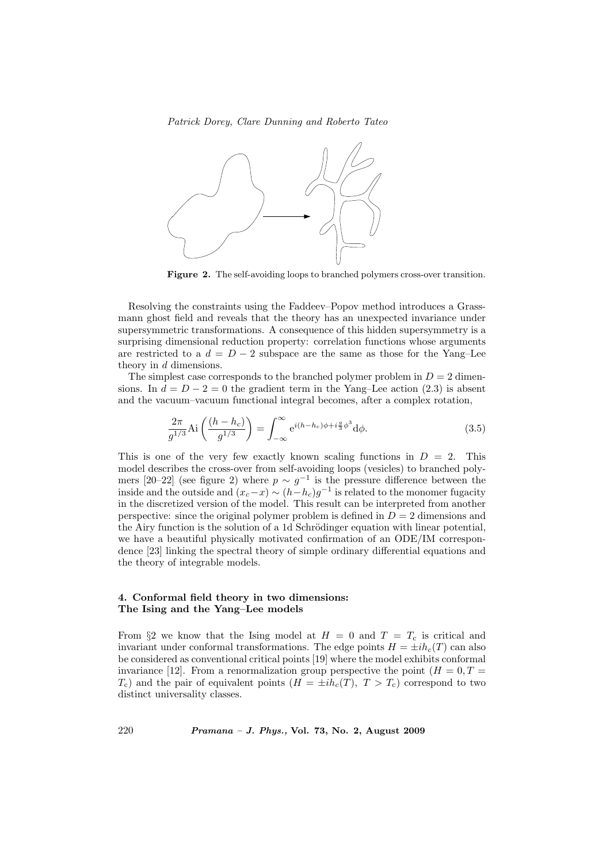

Figure 2. The self-avoiding loops to branched polymers cross-over transition.

Resolving the constraints using the Faddeev–Popov method introduces a Grassmann ghost field and reveals that the theory has an unexpected invariance under supersymmetric transformations. A consequence of this hidden supersymmetry is a surprising dimensional reduction property: correlation functions whose arguments are restricted to a  $d = D - 2$  subspace are the same as those for the Yang–Lee theory in d dimensions.

The simplest case corresponds to the branched polymer problem in  $D = 2$  dimensions. In  $d = D - 2 = 0$  the gradient term in the Yang–Lee action (2.3) is absent and the vacuum–vacuum functional integral becomes, after a complex rotation,

$$
\frac{2\pi}{g^{1/3}} \text{Ai}\left(\frac{(h-h_c)}{g^{1/3}}\right) = \int_{-\infty}^{\infty} e^{i(h-h_c)\phi + i\frac{g}{3}\phi^3} d\phi. \tag{3.5}
$$

This is one of the very few exactly known scaling functions in  $D = 2$ . This model describes the cross-over from self-avoiding loops (vesicles) to branched polymers [20–22] (see figure 2) where  $p \sim g^{-1}$  is the pressure difference between the inside and the outside and  $(x_c-x) \sim (h-h_c)g^{-1}$  is related to the monomer fugacity in the discretized version of the model. This result can be interpreted from another perspective: since the original polymer problem is defined in  $D = 2$  dimensions and the Airy function is the solution of a 1d Schrödinger equation with linear potential, we have a beautiful physically motivated confirmation of an ODE/IM correspondence [23] linking the spectral theory of simple ordinary differential equations and the theory of integrable models.

## 4. Conformal field theory in two dimensions: The Ising and the Yang–Lee models

From §2 we know that the Ising model at  $H = 0$  and  $T = T_c$  is critical and invariant under conformal transformations. The edge points  $H = \pm i h_c(T)$  can also be considered as conventional critical points [19] where the model exhibits conformal invariance [12]. From a renormalization group perspective the point  $(H = 0, T =$  $T_c$ ) and the pair of equivalent points  $(H = \pm ih_c(T), T > T_c)$  correspond to two distinct universality classes.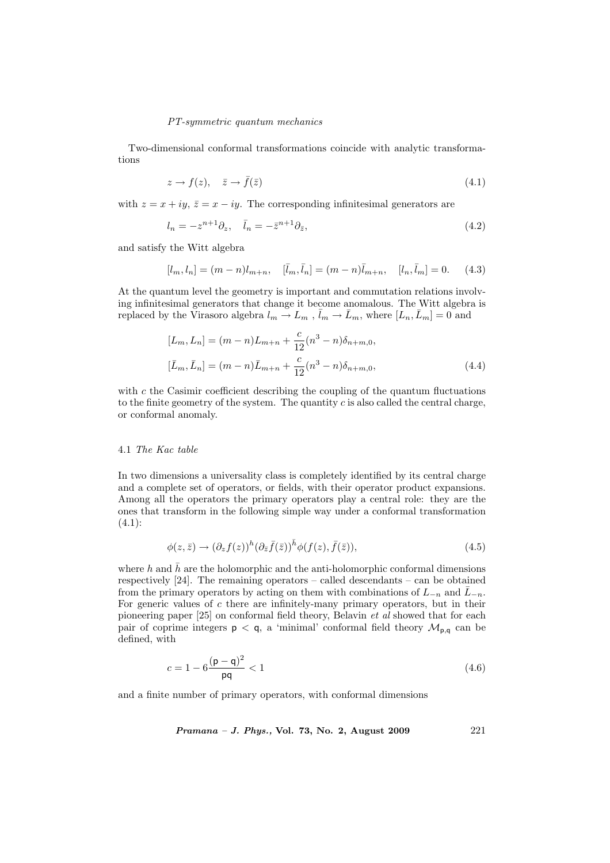Two-dimensional conformal transformations coincide with analytic transformations

$$
z \to f(z), \quad \bar{z} \to \bar{f}(\bar{z}) \tag{4.1}
$$

with  $z = x + iy$ ,  $\bar{z} = x - iy$ . The corresponding infinitesimal generators are

$$
l_n = -z^{n+1}\partial_z, \quad \bar{l}_n = -\bar{z}^{n+1}\partial_{\bar{z}},\tag{4.2}
$$

and satisfy the Witt algebra

$$
[l_m, l_n] = (m - n)l_{m+n}, \quad [\bar{l}_m, \bar{l}_n] = (m - n)\bar{l}_{m+n}, \quad [l_n, \bar{l}_m] = 0. \tag{4.3}
$$

At the quantum level the geometry is important and commutation relations involving infinitesimal generators that change it become anomalous. The Witt algebra is replaced by the Virasoro algebra  $l_m \to L_m$  ,  $\bar{l}_m \to \bar{L}_m$ , where  $[L_n, \bar{L}_m] = 0$  and

$$
[L_m, L_n] = (m - n)L_{m+n} + \frac{c}{12}(n^3 - n)\delta_{n+m,0},
$$
  

$$
[\bar{L}_m, \bar{L}_n] = (m - n)\bar{L}_{m+n} + \frac{c}{12}(n^3 - n)\delta_{n+m,0},
$$
\n(4.4)

with  $c$  the Casimir coefficient describing the coupling of the quantum fluctuations to the finite geometry of the system. The quantity  $c$  is also called the central charge, or conformal anomaly.

#### 4.1 The Kac table

In two dimensions a universality class is completely identified by its central charge and a complete set of operators, or fields, with their operator product expansions. Among all the operators the primary operators play a central role: they are the ones that transform in the following simple way under a conformal transformation  $(4.1):$ 

$$
\phi(z,\bar{z}) \to (\partial_z f(z))^h (\partial_{\bar{z}} \bar{f}(\bar{z}))^{\bar{h}} \phi(f(z), \bar{f}(\bar{z})), \tag{4.5}
$$

where h and  $\bar{h}$  are the holomorphic and the anti-holomorphic conformal dimensions respectively  $[24]$ . The remaining operators – called descendants – can be obtained from the primary operators by acting on them with combinations of  $L_{-n}$  and  $\bar{L}_{-n}$ . For generic values of  $c$  there are infinitely-many primary operators, but in their pioneering paper [25] on conformal field theory, Belavin et al showed that for each pair of coprime integers  $p < q$ , a 'minimal' conformal field theory  $\mathcal{M}_{p,q}$  can be defined, with

$$
c = 1 - 6\frac{(\mathsf{p} - \mathsf{q})^2}{\mathsf{pq}} < 1\tag{4.6}
$$

and a finite number of primary operators, with conformal dimensions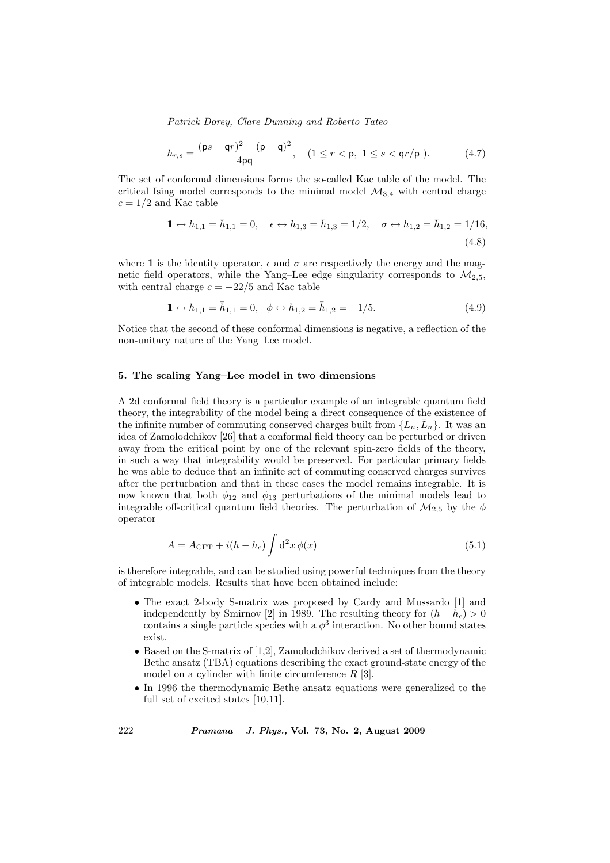$$
h_{r,s} = \frac{(\mathsf{p}s - \mathsf{q}r)^2 - (\mathsf{p} - \mathsf{q})^2}{4\mathsf{p}\mathsf{q}}, \quad (1 \le r < \mathsf{p}, \ 1 \le s < \mathsf{q}r/\mathsf{p}). \tag{4.7}
$$

The set of conformal dimensions forms the so-called Kac table of the model. The critical Ising model corresponds to the minimal model  $\mathcal{M}_{3,4}$  with central charge  $c = 1/2$  and Kac table

$$
1 \leftrightarrow h_{1,1} = \bar{h}_{1,1} = 0, \quad \epsilon \leftrightarrow h_{1,3} = \bar{h}_{1,3} = 1/2, \quad \sigma \leftrightarrow h_{1,2} = \bar{h}_{1,2} = 1/16,
$$
\n(4.8)

where 1 is the identity operator,  $\epsilon$  and  $\sigma$  are respectively the energy and the magnetic field operators, while the Yang–Lee edge singularity corresponds to  $\mathcal{M}_{2.5}$ , with central charge  $c = -22/5$  and Kac table

$$
\mathbf{1} \leftrightarrow h_{1,1} = \bar{h}_{1,1} = 0, \quad \phi \leftrightarrow h_{1,2} = \bar{h}_{1,2} = -1/5. \tag{4.9}
$$

Notice that the second of these conformal dimensions is negative, a reflection of the non-unitary nature of the Yang–Lee model.

#### 5. The scaling Yang–Lee model in two dimensions

A 2d conformal field theory is a particular example of an integrable quantum field theory, the integrability of the model being a direct consequence of the existence of the infinite number of commuting conserved charges built from  $\{L_n, \bar{L}_n\}$ . It was an idea of Zamolodchikov [26] that a conformal field theory can be perturbed or driven away from the critical point by one of the relevant spin-zero fields of the theory, in such a way that integrability would be preserved. For particular primary fields he was able to deduce that an infinite set of commuting conserved charges survives after the perturbation and that in these cases the model remains integrable. It is now known that both  $\phi_{12}$  and  $\phi_{13}$  perturbations of the minimal models lead to integrable off-critical quantum field theories. The perturbation of  $\mathcal{M}_{2,5}$  by the  $\phi$ operator

$$
A = A_{\text{CFT}} + i(h - h_c) \int d^2x \, \phi(x) \tag{5.1}
$$

is therefore integrable, and can be studied using powerful techniques from the theory of integrable models. Results that have been obtained include:

- The exact 2-body S-matrix was proposed by Cardy and Mussardo [1] and independently by Smirnov [2] in 1989. The resulting theory for  $(h - h_c) > 0$ contains a single particle species with a  $\phi^3$  interaction. No other bound states exist.
- Based on the S-matrix of [1,2], Zamolodchikov derived a set of thermodynamic Bethe ansatz (TBA) equations describing the exact ground-state energy of the model on a cylinder with finite circumference  $R$  [3].
- In 1996 the thermodynamic Bethe ansatz equations were generalized to the full set of excited states [10,11].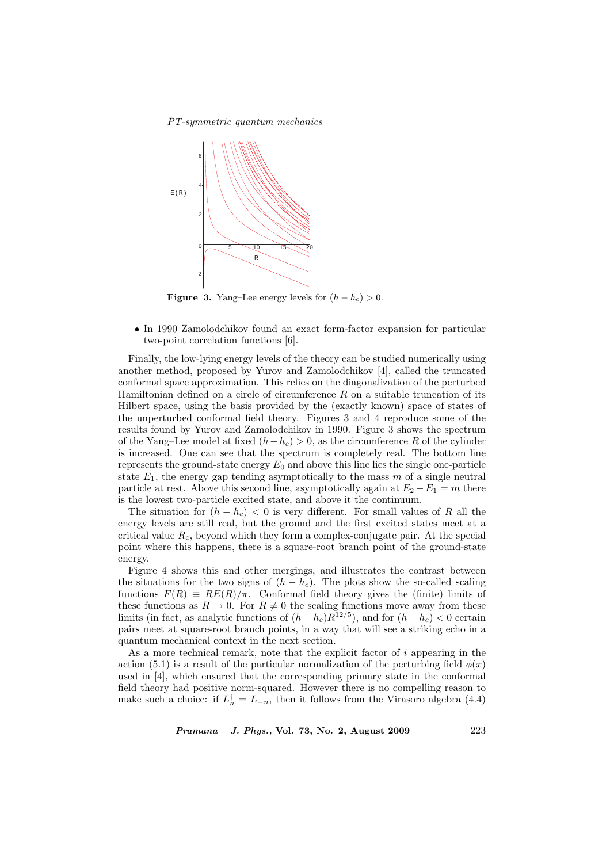PT-symmetric quantum mechanics



**Figure 3.** Yang–Lee energy levels for  $(h - h_c) > 0$ .

• In 1990 Zamolodchikov found an exact form-factor expansion for particular two-point correlation functions [6].

Finally, the low-lying energy levels of the theory can be studied numerically using another method, proposed by Yurov and Zamolodchikov [4], called the truncated conformal space approximation. This relies on the diagonalization of the perturbed Hamiltonian defined on a circle of circumference  $R$  on a suitable truncation of its Hilbert space, using the basis provided by the (exactly known) space of states of the unperturbed conformal field theory. Figures 3 and 4 reproduce some of the results found by Yurov and Zamolodchikov in 1990. Figure 3 shows the spectrum of the Yang–Lee model at fixed  $(h-h_c) > 0$ , as the circumference R of the cylinder is increased. One can see that the spectrum is completely real. The bottom line represents the ground-state energy  $E_0$  and above this line lies the single one-particle state  $E_1$ , the energy gap tending asymptotically to the mass m of a single neutral particle at rest. Above this second line, asymptotically again at  $E_2 - E_1 = m$  there is the lowest two-particle excited state, and above it the continuum.

The situation for  $(h - h_c) < 0$  is very different. For small values of R all the energy levels are still real, but the ground and the first excited states meet at a critical value  $R_c$ , beyond which they form a complex-conjugate pair. At the special point where this happens, there is a square-root branch point of the ground-state energy.

Figure 4 shows this and other mergings, and illustrates the contrast between the situations for the two signs of  $(h - h_c)$ . The plots show the so-called scaling functions  $F(R) \equiv RE(R)/\pi$ . Conformal field theory gives the (finite) limits of these functions as  $R \to 0$ . For  $R \neq 0$  the scaling functions move away from these limits (in fact, as analytic functions of  $(h-h_c)R^{12/5}$ ), and for  $(h-h_c) < 0$  certain pairs meet at square-root branch points, in a way that will see a striking echo in a quantum mechanical context in the next section.

As a more technical remark, note that the explicit factor of i appearing in the action (5.1) is a result of the particular normalization of the perturbing field  $\phi(x)$ used in [4], which ensured that the corresponding primary state in the conformal field theory had positive norm-squared. However there is no compelling reason to make such a choice: if  $L_n^{\dagger} = L_{-n}$ , then it follows from the Virasoro algebra (4.4)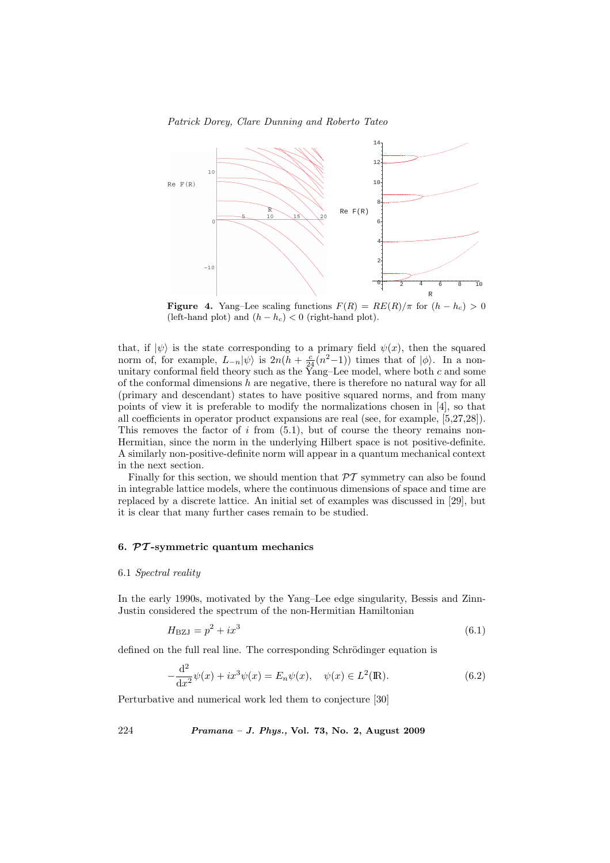Patrick Dorey, Clare Dunning and Roberto Tateo



**Figure 4.** Yang–Lee scaling functions  $F(R) = RE(R)/\pi$  for  $(h - h_c) > 0$ (left-hand plot) and  $(h - h_c) < 0$  (right-hand plot).

that, if  $|\psi\rangle$  is the state corresponding to a primary field  $\psi(x)$ , then the squared norm of, for example,  $L_{-n}|\psi\rangle$  is  $2n(h + \frac{c}{24}(n^2-1))$  times that of  $|\phi\rangle$ . In a nonunitary conformal field theory such as the Yang–Lee model, where both  $c$  and some of the conformal dimensions  $h$  are negative, there is therefore no natural way for all (primary and descendant) states to have positive squared norms, and from many points of view it is preferable to modify the normalizations chosen in [4], so that all coefficients in operator product expansions are real (see, for example, [5,27,28]). This removes the factor of  $i$  from  $(5.1)$ , but of course the theory remains non-Hermitian, since the norm in the underlying Hilbert space is not positive-definite. A similarly non-positive-definite norm will appear in a quantum mechanical context in the next section.

Finally for this section, we should mention that  $\mathcal{PT}$  symmetry can also be found in integrable lattice models, where the continuous dimensions of space and time are replaced by a discrete lattice. An initial set of examples was discussed in [29], but it is clear that many further cases remain to be studied.

### 6.  $PT$ -symmetric quantum mechanics

#### 6.1 Spectral reality

In the early 1990s, motivated by the Yang–Lee edge singularity, Bessis and Zinn-Justin considered the spectrum of the non-Hermitian Hamiltonian

$$
H_{\rm BZJ} = p^2 + ix^3 \tag{6.1}
$$

defined on the full real line. The corresponding Schrödinger equation is

$$
-\frac{d^2}{dx^2}\psi(x) + ix^3\psi(x) = E_n\psi(x), \quad \psi(x) \in L^2(\mathbb{R}).
$$
\n(6.2)

Perturbative and numerical work led them to conjecture [30]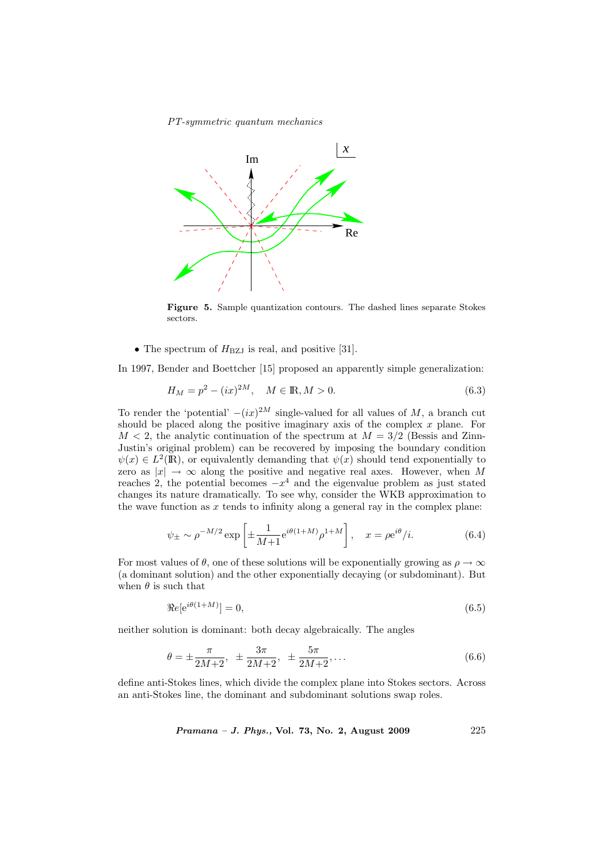

Figure 5. Sample quantization contours. The dashed lines separate Stokes sectors.

• The spectrum of  $H_{\text{BZJ}}$  is real, and positive [31].

In 1997, Bender and Boettcher [15] proposed an apparently simple generalization:

$$
H_M = p^2 - (ix)^{2M}, \quad M \in \mathbb{R}, M > 0.
$$
\n(6.3)

To render the 'potential'  $-(ix)^{2M}$  single-valued for all values of M, a branch cut should be placed along the positive imaginary axis of the complex  $x$  plane. For  $M < 2$ , the analytic continuation of the spectrum at  $M = 3/2$  (Bessis and Zinn-Justin's original problem) can be recovered by imposing the boundary condition  $\psi(x) \in L^2(\mathbb{R})$ , or equivalently demanding that  $\psi(x)$  should tend exponentially to zero as  $|x| \to \infty$  along the positive and negative real axes. However, when M reaches 2, the potential becomes  $-x^4$  and the eigenvalue problem as just stated changes its nature dramatically. To see why, consider the WKB approximation to the wave function as  $x$  tends to infinity along a general ray in the complex plane:

$$
\psi_{\pm} \sim \rho^{-M/2} \exp\left[\pm \frac{1}{M+1} e^{i\theta(1+M)} \rho^{1+M}\right], \quad x = \rho e^{i\theta} / i.
$$
\n(6.4)

For most values of  $\theta$ , one of these solutions will be exponentially growing as  $\rho \to \infty$ (a dominant solution) and the other exponentially decaying (or subdominant). But when  $\theta$  is such that

$$
\Re e[e^{i\theta(1+M)}] = 0,\tag{6.5}
$$

neither solution is dominant: both decay algebraically. The angles

$$
\theta = \pm \frac{\pi}{2M+2}, \ \pm \frac{3\pi}{2M+2}, \ \pm \frac{5\pi}{2M+2}, \dots \tag{6.6}
$$

define anti-Stokes lines, which divide the complex plane into Stokes sectors. Across an anti-Stokes line, the dominant and subdominant solutions swap roles.

Pramana – J. Phys., Vol. 73, No. 2, August 2009

\n
$$
225
$$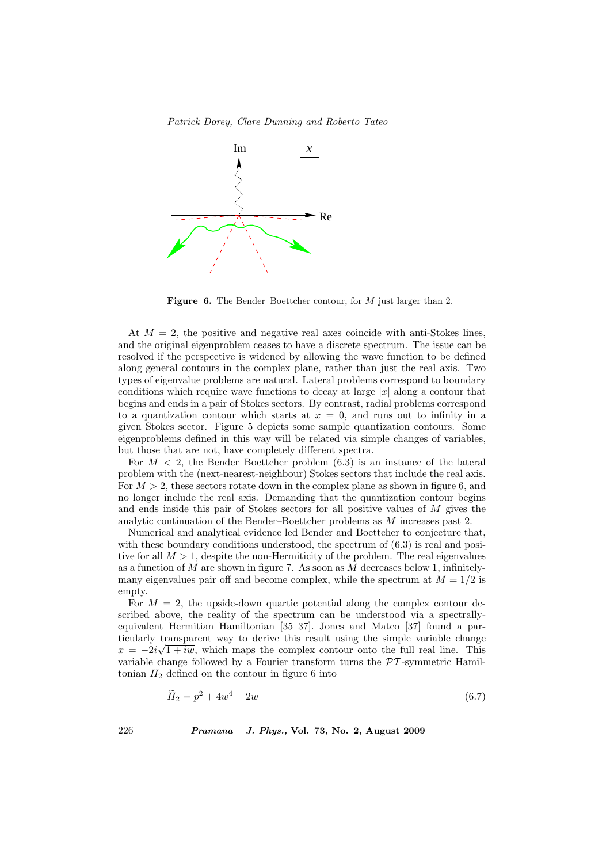

Figure 6. The Bender–Boettcher contour, for M just larger than 2.

At  $M = 2$ , the positive and negative real axes coincide with anti-Stokes lines, and the original eigenproblem ceases to have a discrete spectrum. The issue can be resolved if the perspective is widened by allowing the wave function to be defined along general contours in the complex plane, rather than just the real axis. Two types of eigenvalue problems are natural. Lateral problems correspond to boundary conditions which require wave functions to decay at large  $|x|$  along a contour that begins and ends in a pair of Stokes sectors. By contrast, radial problems correspond to a quantization contour which starts at  $x = 0$ , and runs out to infinity in a given Stokes sector. Figure 5 depicts some sample quantization contours. Some eigenproblems defined in this way will be related via simple changes of variables, but those that are not, have completely different spectra.

For  $M < 2$ , the Bender–Boettcher problem  $(6.3)$  is an instance of the lateral problem with the (next-nearest-neighbour) Stokes sectors that include the real axis. For  $M > 2$ , these sectors rotate down in the complex plane as shown in figure 6, and no longer include the real axis. Demanding that the quantization contour begins and ends inside this pair of Stokes sectors for all positive values of M gives the analytic continuation of the Bender–Boettcher problems as M increases past 2.

Numerical and analytical evidence led Bender and Boettcher to conjecture that, with these boundary conditions understood, the spectrum of  $(6.3)$  is real and positive for all  $M > 1$ , despite the non-Hermiticity of the problem. The real eigenvalues as a function of  $M$  are shown in figure 7. As soon as  $M$  decreases below 1, infinitelymany eigenvalues pair off and become complex, while the spectrum at  $M = 1/2$  is empty.

For  $M = 2$ , the upside-down quartic potential along the complex contour described above, the reality of the spectrum can be understood via a spectrallyequivalent Hermitian Hamiltonian [35–37]. Jones and Mateo [37] found a particularly transparent way to derive this result using the simple variable change  $x = -2i\sqrt{1 + iw}$ , which maps the complex contour onto the full real line. This variable change followed by a Fourier transform turns the  $\mathcal{PT}$ -symmetric Hamiltonian  $H_2$  defined on the contour in figure 6 into

$$
\widetilde{H}_2 = p^2 + 4w^4 - 2w \tag{6.7}
$$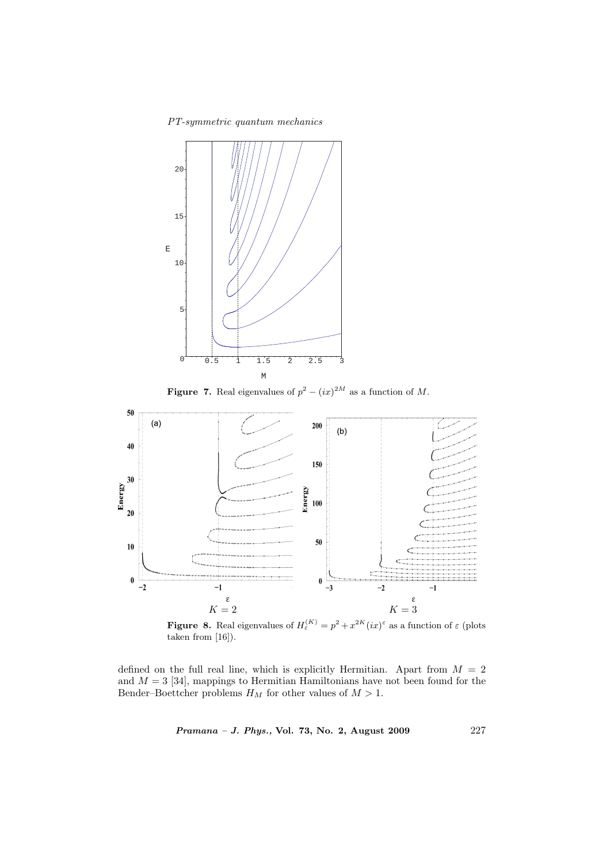PT-symmetric quantum mechanics



**Figure 7.** Real eigenvalues of  $p^2 - (ix)^{2M}$  as a function of M.



**Figure 8.** Real eigenvalues of  $H_{\varepsilon}^{(K)} = p^2 + x^{2K} (ix)^{\varepsilon}$  as a function of  $\varepsilon$  (plots taken from [16]).

defined on the full real line, which is explicitly Hermitian. Apart from  $M = 2$ and  $M = 3$  [34], mappings to Hermitian Hamiltonians have not been found for the Bender–Boettcher problems  $H_M$  for other values of  $M > 1$ .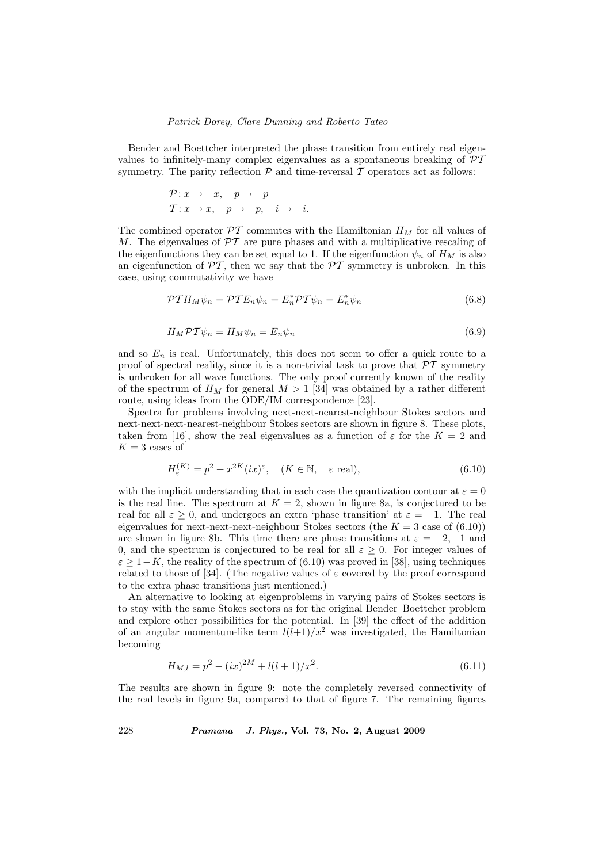Bender and Boettcher interpreted the phase transition from entirely real eigenvalues to infinitely-many complex eigenvalues as a spontaneous breaking of PT symmetry. The parity reflection  $P$  and time-reversal  $T$  operators act as follows:

$$
\mathcal{P}: x \to -x, \quad p \to -p
$$
  

$$
\mathcal{T}: x \to x, \quad p \to -p, \quad i \to -i.
$$

The combined operator  $\mathcal{PT}$  commutes with the Hamiltonian  $H_M$  for all values of M. The eigenvalues of  $\mathcal{PT}$  are pure phases and with a multiplicative rescaling of the eigenfunctions they can be set equal to 1. If the eigenfunction  $\psi_n$  of  $H_M$  is also an eigenfunction of  $\mathcal{PT}$ , then we say that the  $\mathcal{PT}$  symmetry is unbroken. In this case, using commutativity we have

$$
\mathcal{PT}H_M\psi_n = \mathcal{PT}E_n\psi_n = E_n^* \mathcal{PT}\psi_n = E_n^* \psi_n \tag{6.8}
$$

$$
H_M \mathcal{PT}\psi_n = H_M \psi_n = E_n \psi_n \tag{6.9}
$$

and so  $E_n$  is real. Unfortunately, this does not seem to offer a quick route to a proof of spectral reality, since it is a non-trivial task to prove that  $\mathcal{PT}$  symmetry is unbroken for all wave functions. The only proof currently known of the reality of the spectrum of  $H_M$  for general  $M > 1$  [34] was obtained by a rather different route, using ideas from the ODE/IM correspondence [23].

Spectra for problems involving next-next-nearest-neighbour Stokes sectors and next-next-next-nearest-neighbour Stokes sectors are shown in figure 8. These plots, taken from [16], show the real eigenvalues as a function of  $\varepsilon$  for the  $K = 2$  and  $K = 3$  cases of

$$
H_{\varepsilon}^{(K)} = p^2 + x^{2K} (ix)^{\varepsilon}, \quad (K \in \mathbb{N}, \quad \varepsilon \text{ real}), \tag{6.10}
$$

with the implicit understanding that in each case the quantization contour at  $\varepsilon = 0$ is the real line. The spectrum at  $K = 2$ , shown in figure 8a, is conjectured to be real for all  $\varepsilon > 0$ , and undergoes an extra 'phase transition' at  $\varepsilon = -1$ . The real eigenvalues for next-next-next-neighbour Stokes sectors (the  $K = 3$  case of  $(6.10)$ ) are shown in figure 8b. This time there are phase transitions at  $\varepsilon = -2, -1$  and 0, and the spectrum is conjectured to be real for all  $\varepsilon \geq 0$ . For integer values of  $\varepsilon \geq 1-K$ , the reality of the spectrum of (6.10) was proved in [38], using techniques related to those of [34]. (The negative values of  $\varepsilon$  covered by the proof correspond to the extra phase transitions just mentioned.)

An alternative to looking at eigenproblems in varying pairs of Stokes sectors is to stay with the same Stokes sectors as for the original Bender–Boettcher problem and explore other possibilities for the potential. In [39] the effect of the addition of an angular momentum-like term  $l(l+1)/x^2$  was investigated, the Hamiltonian becoming

$$
H_{M,l} = p^2 - (ix)^{2M} + l(l+1)/x^2.
$$
\n(6.11)

The results are shown in figure 9: note the completely reversed connectivity of the real levels in figure 9a, compared to that of figure 7. The remaining figures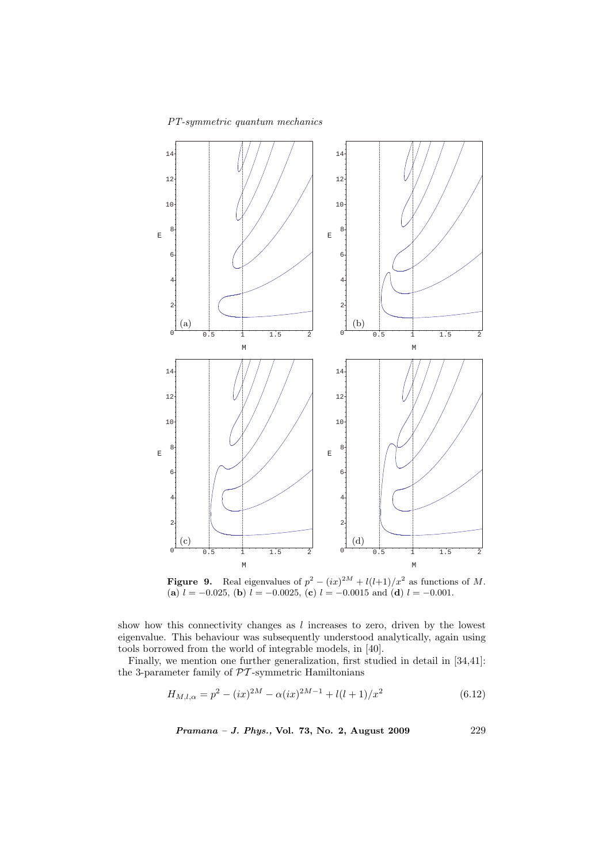

**Figure 9.** Real eigenvalues of  $p^2 - (ix)^{2M} + l(l+1)/x^2$  as functions of M. (a)  $l = -0.025$ , (b)  $l = -0.0025$ , (c)  $l = -0.0015$  and (d)  $l = -0.001$ .

show how this connectivity changes as  $l$  increases to zero, driven by the lowest eigenvalue. This behaviour was subsequently understood analytically, again using tools borrowed from the world of integrable models, in [40].

Finally, we mention one further generalization, first studied in detail in [34,41]: the 3-parameter family of  $\mathcal{PT}$ -symmetric Hamiltonians

$$
H_{M,l,\alpha} = p^2 - (ix)^{2M} - \alpha(ix)^{2M-1} + l(l+1)/x^2
$$
\n(6.12)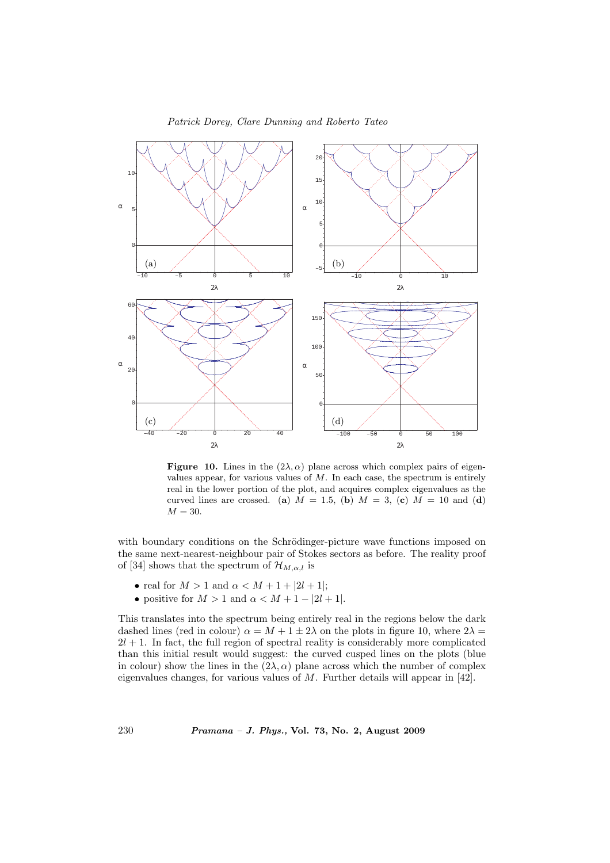

**Figure 10.** Lines in the  $(2\lambda, \alpha)$  plane across which complex pairs of eigenvalues appear, for various values of  $M$ . In each case, the spectrum is entirely real in the lower portion of the plot, and acquires complex eigenvalues as the curved lines are crossed. (a)  $M = 1.5$ , (b)  $M = 3$ , (c)  $M = 10$  and (d)  $M = 30.$ 

with boundary conditions on the Schrödinger-picture wave functions imposed on the same next-nearest-neighbour pair of Stokes sectors as before. The reality proof of [34] shows that the spectrum of  $\mathcal{H}_{M,\alpha,l}$  is

- real for  $M > 1$  and  $\alpha < M + 1 + |2l + 1|$ ;
- positive for  $M > 1$  and  $\alpha < M + 1 |2l + 1|$ .

This translates into the spectrum being entirely real in the regions below the dark dashed lines (red in colour)  $\alpha = M + 1 \pm 2\lambda$  on the plots in figure 10, where  $2\lambda =$  $2l + 1$ . In fact, the full region of spectral reality is considerably more complicated than this initial result would suggest: the curved cusped lines on the plots (blue in colour) show the lines in the  $(2\lambda, \alpha)$  plane across which the number of complex eigenvalues changes, for various values of M. Further details will appear in [42].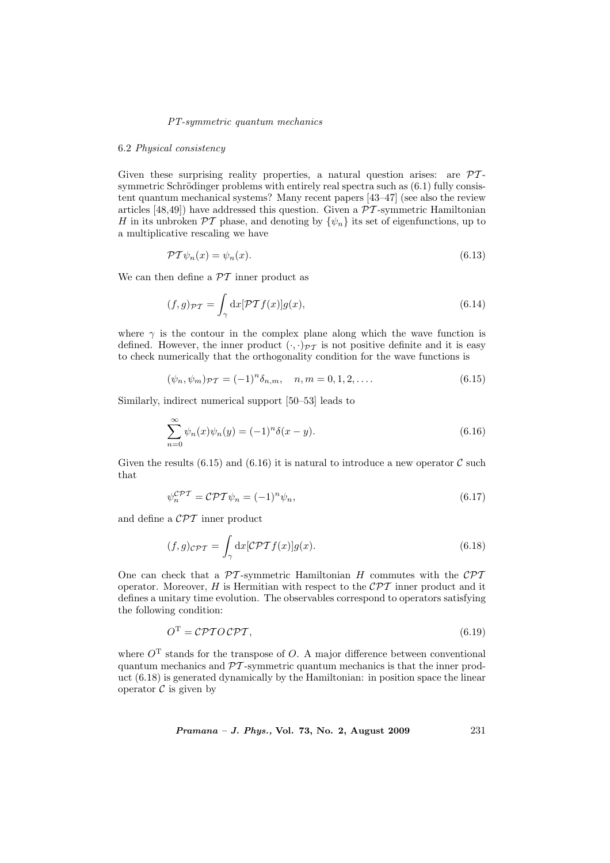#### 6.2 Physical consistency

Given these surprising reality properties, a natural question arises: are  $\mathcal{PT}$ symmetric Schrödinger problems with entirely real spectra such as  $(6.1)$  fully consistent quantum mechanical systems? Many recent papers [43–47] (see also the review articles [48,49]) have addressed this question. Given a  $\overline{PT}$ -symmetric Hamiltonian H in its unbroken  $\mathcal{PT}$  phase, and denoting by  $\{\psi_n\}$  its set of eigenfunctions, up to a multiplicative rescaling we have

$$
\mathcal{PT}\psi_n(x) = \psi_n(x). \tag{6.13}
$$

We can then define a  $\mathcal{P}\mathcal{T}$  inner product as

$$
(f,g)\mathcal{P}\mathcal{T} = \int_{\gamma} dx [\mathcal{PT}f(x)]g(x),\tag{6.14}
$$

where  $\gamma$  is the contour in the complex plane along which the wave function is defined. However, the inner product  $(\cdot, \cdot)_{\mathcal{PT}}$  is not positive definite and it is easy to check numerically that the orthogonality condition for the wave functions is

$$
(\psi_n, \psi_m)_{\mathcal{PT}} = (-1)^n \delta_{n,m}, \quad n, m = 0, 1, 2, \dots
$$
\n(6.15)

Similarly, indirect numerical support [50–53] leads to

$$
\sum_{n=0}^{\infty} \psi_n(x)\psi_n(y) = (-1)^n \delta(x-y).
$$
\n(6.16)

Given the results (6.15) and (6.16) it is natural to introduce a new operator  $\mathcal C$  such that

$$
\psi_n^{\mathcal{CPT}} = \mathcal{CPT}\psi_n = (-1)^n \psi_n,\tag{6.17}
$$

and define a CPT inner product

$$
(f,g)_{\mathcal{CPT}} = \int_{\gamma} dx [\mathcal{CPT}f(x)]g(x). \tag{6.18}
$$

One can check that a  $\mathcal{PT}$ -symmetric Hamiltonian H commutes with the  $\mathcal{CPT}$ operator. Moreover, H is Hermitian with respect to the  $\mathcal{CPT}$  inner product and it defines a unitary time evolution. The observables correspond to operators satisfying the following condition:

$$
O^{\mathrm{T}} = \mathcal{C} \mathcal{P} \mathcal{T} O \mathcal{C} \mathcal{P} \mathcal{T},\tag{6.19}
$$

where  $O<sup>T</sup>$  stands for the transpose of O. A major difference between conventional quantum mechanics and  $\mathcal{PT}$ -symmetric quantum mechanics is that the inner product (6.18) is generated dynamically by the Hamiltonian: in position space the linear operator  $\mathcal C$  is given by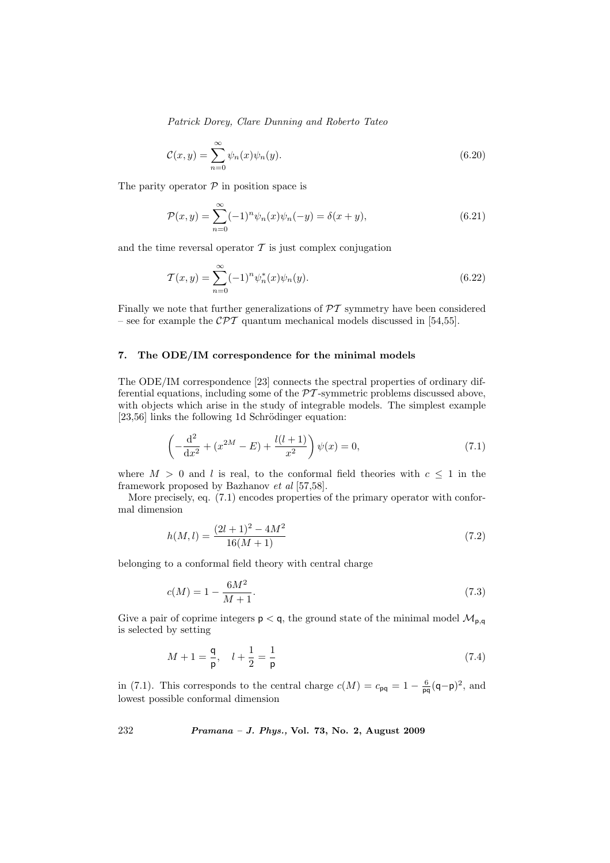$$
\mathcal{C}(x,y) = \sum_{n=0}^{\infty} \psi_n(x)\psi_n(y). \tag{6.20}
$$

The parity operator  $P$  in position space is

$$
\mathcal{P}(x,y) = \sum_{n=0}^{\infty} (-1)^n \psi_n(x) \psi_n(-y) = \delta(x+y), \tag{6.21}
$$

and the time reversal operator  $\mathcal T$  is just complex conjugation

$$
\mathcal{T}(x,y) = \sum_{n=0}^{\infty} (-1)^n \psi_n^*(x) \psi_n(y).
$$
\n(6.22)

Finally we note that further generalizations of  $\mathcal{PT}$  symmetry have been considered – see for example the  $\mathcal{CPT}$  quantum mechanical models discussed in [54,55].

# 7. The ODE/IM correspondence for the minimal models

The ODE/IM correspondence [23] connects the spectral properties of ordinary differential equations, including some of the  $\mathcal{P}\mathcal{T}$ -symmetric problems discussed above, with objects which arise in the study of integrable models. The simplest example  $[23,56]$  links the following 1d Schrödinger equation:

$$
\left(-\frac{d^2}{dx^2} + (x^{2M} - E) + \frac{l(l+1)}{x^2}\right)\psi(x) = 0,
$$
\n(7.1)

where  $M > 0$  and l is real, to the conformal field theories with  $c \leq 1$  in the framework proposed by Bazhanov et al [57,58].

More precisely, eq. (7.1) encodes properties of the primary operator with conformal dimension

$$
h(M,l) = \frac{(2l+1)^2 - 4M^2}{16(M+1)}
$$
\n(7.2)

belonging to a conformal field theory with central charge

$$
c(M) = 1 - \frac{6M^2}{M+1}.\tag{7.3}
$$

Give a pair of coprime integers  $p < q$ , the ground state of the minimal model  $\mathcal{M}_{p,q}$ is selected by setting

$$
M + 1 = \frac{q}{p}, \quad l + \frac{1}{2} = \frac{1}{p}
$$
 (7.4)

in (7.1). This corresponds to the central charge  $c(M) = c_{pq} = 1 - \frac{6}{pq}(q-p)^2$ , and lowest possible conformal dimension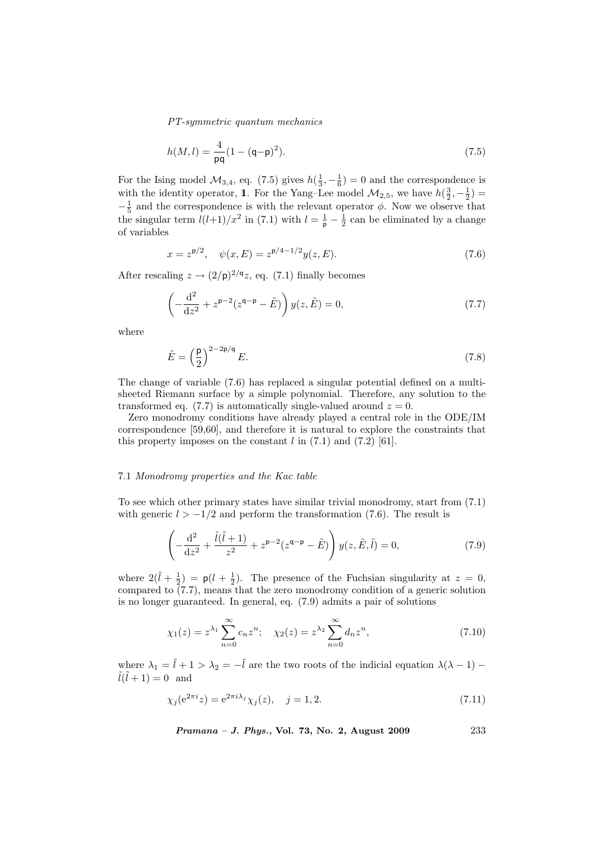$$
h(M,l) = \frac{4}{pq}(1 - (q - p)^2).
$$
 (7.5)

For the Ising model  $\mathcal{M}_{3,4}$ , eq. (7.5) gives  $h(\frac{1}{3}, -\frac{1}{6}) = 0$  and the correspondence is with the identity operator, 1. For the Yang–Lee model  $\mathcal{M}_{2,5}$ , we have  $h(\frac{3}{2}, -\frac{1}{2})$  =  $-\frac{1}{5}$  and the correspondence is with the relevant operator  $\phi$ . Now we observe that the singular term  $l(l+1)/x^2$  in (7.1) with  $l=\frac{1}{p}-\frac{1}{2}$  can be eliminated by a change of variables

$$
x = z^{p/2}, \quad \psi(x, E) = z^{p/4 - 1/2} y(z, E). \tag{7.6}
$$

After rescaling  $z \to (2/\mathsf{p})^{2/\mathsf{q}} z$ , eq. (7.1) finally becomes

$$
\left(-\frac{\mathrm{d}^2}{\mathrm{d}z^2} + z^{\mathsf{p}-2}(z^{\mathsf{q}-\mathsf{p}} - \tilde{E})\right) y(z, \tilde{E}) = 0,\tag{7.7}
$$

where

$$
\tilde{E} = \left(\frac{\mathsf{p}}{2}\right)^{2-2\mathsf{p}/\mathsf{q}} E. \tag{7.8}
$$

The change of variable (7.6) has replaced a singular potential defined on a multisheeted Riemann surface by a simple polynomial. Therefore, any solution to the transformed eq. (7.7) is automatically single-valued around  $z = 0$ .

Zero monodromy conditions have already played a central role in the ODE/IM correspondence [59,60], and therefore it is natural to explore the constraints that this property imposes on the constant  $l$  in  $(7.1)$  and  $(7.2)$  [61].

#### 7.1 Monodromy properties and the Kac table

To see which other primary states have similar trivial monodromy, start from (7.1) with generic  $l > -1/2$  and perform the transformation (7.6). The result is

$$
\left(-\frac{\mathrm{d}^2}{\mathrm{d}z^2} + \frac{\tilde{l}(\tilde{l}+1)}{z^2} + z^{\mathsf{p}-2}(z^{\mathsf{q}-\mathsf{p}} - \tilde{E})\right)y(z, \tilde{E}, \tilde{l}) = 0,\tag{7.9}
$$

where  $2(\tilde{l} + \frac{1}{2}) = p(l + \frac{1}{2})$ . The presence of the Fuchsian singularity at  $z = 0$ , compared to  $(7.7)$ , means that the zero monodromy condition of a generic solution is no longer guaranteed. In general, eq. (7.9) admits a pair of solutions

$$
\chi_1(z) = z^{\lambda_1} \sum_{n=0}^{\infty} c_n z^n; \quad \chi_2(z) = z^{\lambda_2} \sum_{n=0}^{\infty} d_n z^n,
$$
\n(7.10)

where  $\lambda_1 = \tilde{l} + 1 > \lambda_2 = -\tilde{l}$  are the two roots of the indicial equation  $\lambda(\lambda - 1)$  –  $ilde{l}(\tilde{l} + 1) = 0$  and

$$
\chi_j(e^{2\pi i}z) = e^{2\pi i\lambda_j}\chi_j(z), \quad j = 1, 2.
$$
\n(7.11)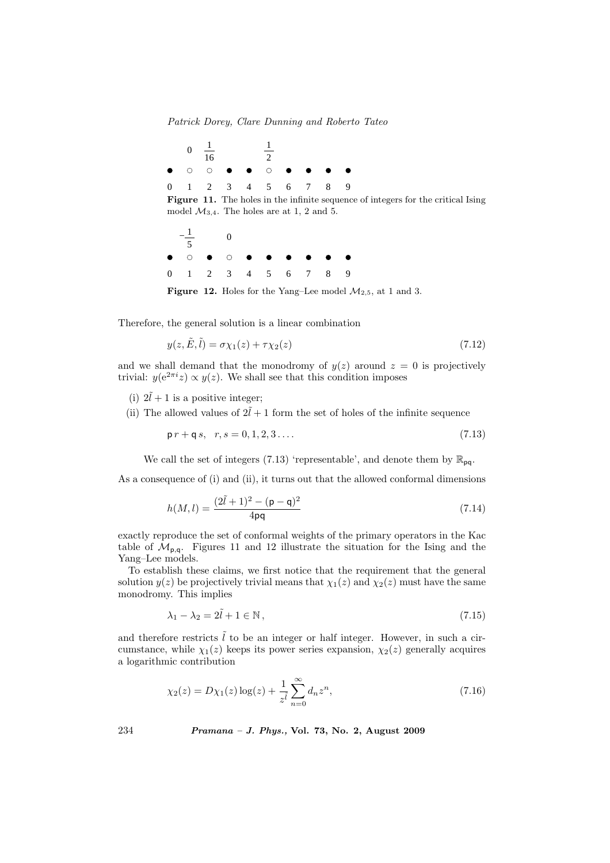





**Figure 12.** Holes for the Yang–Lee model  $\mathcal{M}_{2,5}$ , at 1 and 3.

Therefore, the general solution is a linear combination

$$
y(z, \tilde{E}, \tilde{l}) = \sigma \chi_1(z) + \tau \chi_2(z) \tag{7.12}
$$

and we shall demand that the monodromy of  $y(z)$  around  $z = 0$  is projectively trivial:  $y(e^{2\pi i}z) \propto y(z)$ . We shall see that this condition imposes

- (i)  $2\tilde{l} + 1$  is a positive integer;
- (ii) The allowed values of  $2\tilde{l} + 1$  form the set of holes of the infinite sequence

$$
\mathsf{p}\,r + \mathsf{q}\,s, \quad r, s = 0, 1, 2, 3 \ldots \tag{7.13}
$$

We call the set of integers (7.13) 'representable', and denote them by  $\mathbb{R}_{pq}$ .

As a consequence of (i) and (ii), it turns out that the allowed conformal dimensions

$$
h(M,l) = \frac{(2\tilde{l} + 1)^2 - (\mathsf{p} - \mathsf{q})^2}{4\mathsf{pq}}\tag{7.14}
$$

exactly reproduce the set of conformal weights of the primary operators in the Kac table of  $\mathcal{M}_{p,q}$ . Figures 11 and 12 illustrate the situation for the Ising and the Yang–Lee models.

To establish these claims, we first notice that the requirement that the general solution  $y(z)$  be projectively trivial means that  $\chi_1(z)$  and  $\chi_2(z)$  must have the same monodromy. This implies

$$
\lambda_1 - \lambda_2 = 2\tilde{l} + 1 \in \mathbb{N},\tag{7.15}
$$

and therefore restricts  $\tilde{l}$  to be an integer or half integer. However, in such a circumstance, while  $\chi_1(z)$  keeps its power series expansion,  $\chi_2(z)$  generally acquires a logarithmic contribution

$$
\chi_2(z) = D\chi_1(z) \log(z) + \frac{1}{z^{\tilde{l}}} \sum_{n=0}^{\infty} d_n z^n,
$$
\n(7.16)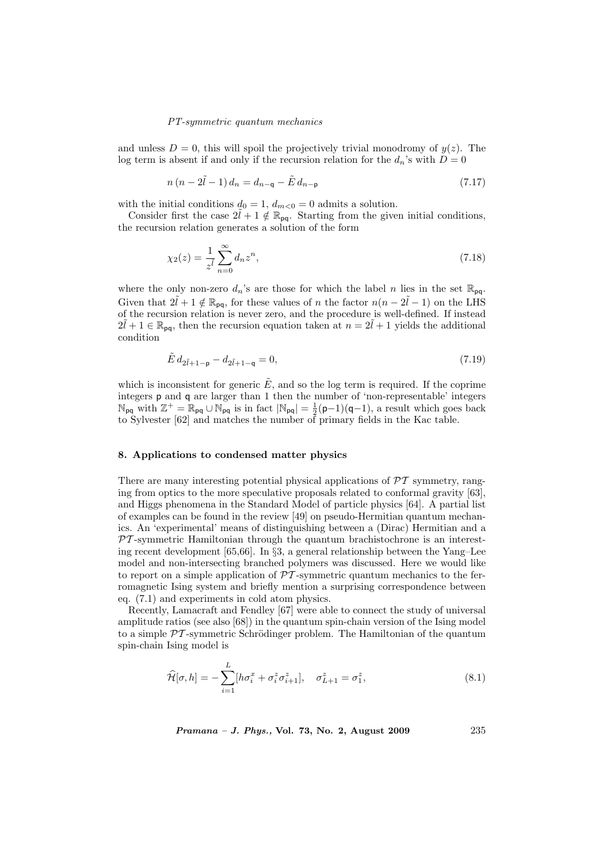and unless  $D = 0$ , this will spoil the projectively trivial monodromy of  $y(z)$ . The log term is absent if and only if the recursion relation for the  $d_n$ 's with  $D = 0$ 

$$
n(n-2\tilde{l}-1)d_n = d_{n-q} - \tilde{E} d_{n-p}
$$
\n(7.17)

with the initial conditions  $d_0 = 1$ ,  $d_{m<0} = 0$  admits a solution.

Consider first the case  $2\ell + 1 \notin \mathbb{R}_{pq}$ . Starting from the given initial conditions, the recursion relation generates a solution of the form

$$
\chi_2(z) = \frac{1}{z^{\tilde{l}}} \sum_{n=0}^{\infty} d_n z^n,
$$
\n(7.18)

where the only non-zero  $d_n$ 's are those for which the label n lies in the set  $\mathbb{R}_{pq}$ . Given that  $2\tilde{l} + 1 \notin \mathbb{R}_{pq}$ , for these values of n the factor  $n(n - 2\tilde{l} - 1)$  on the LHS of the recursion relation is never zero, and the procedure is well-defined. If instead  $2\tilde{l} + 1 \in \mathbb{R}_{pq}$ , then the recursion equation taken at  $n = 2\tilde{l} + 1$  yields the additional condition

$$
\tilde{E} d_{2\tilde{l}+1-\mathsf{p}} - d_{2\tilde{l}+1-\mathsf{q}} = 0,\tag{7.19}
$$

which is inconsistent for generic  $\tilde{E}$ , and so the log term is required. If the coprime integers p and q are larger than 1 then the number of 'non-representable' integers  $\mathbb{N}_{pq}$  with  $\mathbb{Z}^+=\mathbb{R}_{pq}\cup\mathbb{N}_{pq}$  is in fact  $|\mathbb{N}_{pq}|=\frac{1}{2}(p-1)(q-1)$ , a result which goes back to Sylvester [62] and matches the number of primary fields in the Kac table.

## 8. Applications to condensed matter physics

There are many interesting potential physical applications of  $\mathcal{PT}$  symmetry, ranging from optics to the more speculative proposals related to conformal gravity [63], and Higgs phenomena in the Standard Model of particle physics [64]. A partial list of examples can be found in the review [49] on pseudo-Hermitian quantum mechanics. An 'experimental' means of distinguishing between a (Dirac) Hermitian and a  $PT$ -symmetric Hamiltonian through the quantum brachistochrone is an interesting recent development [65,66]. In §3, a general relationship between the Yang–Lee model and non-intersecting branched polymers was discussed. Here we would like to report on a simple application of  $\mathcal{PT}$ -symmetric quantum mechanics to the ferromagnetic Ising system and briefly mention a surprising correspondence between eq. (7.1) and experiments in cold atom physics.

Recently, Lamacraft and Fendley [67] were able to connect the study of universal amplitude ratios (see also [68]) in the quantum spin-chain version of the Ising model to a simple  $\mathcal{P}\mathcal{T}$ -symmetric Schrödinger problem. The Hamiltonian of the quantum spin-chain Ising model is

$$
\widehat{\mathcal{H}}[\sigma,h] = -\sum_{i=1}^{L} [h\sigma_i^x + \sigma_i^z \sigma_{i+1}^z], \quad \sigma_{L+1}^z = \sigma_1^z,
$$
\n(8.1)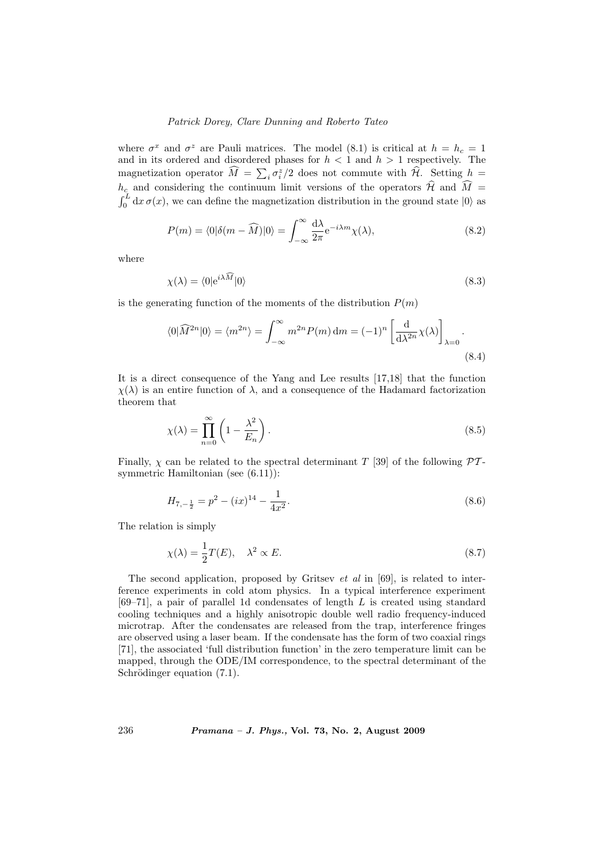where  $\sigma^x$  and  $\sigma^z$  are Pauli matrices. The model (8.1) is critical at  $h = h_c = 1$ and in its ordered and disordered phases for  $h < 1$  and  $h > 1$  respectively. The magnetization operator  $\widehat{M} = \sum_i \sigma_i^z/2$  does not commute with  $\widehat{\mathcal{H}}$ . Setting  $h =$  $h_c$  and considering the continuum limit versions of the operators  $\widehat{\mathcal{H}}$  and  $\widehat{M}$  =  $\int_0^L dx \sigma(x)$ , we can define the magnetization distribution in the ground state  $|0\rangle$  as

$$
P(m) = \langle 0|\delta(m - \widehat{M})|0\rangle = \int_{-\infty}^{\infty} \frac{d\lambda}{2\pi} e^{-i\lambda m} \chi(\lambda), \qquad (8.2)
$$

where

$$
\chi(\lambda) = \langle 0 | e^{i\lambda \widehat{M}} | 0 \rangle \tag{8.3}
$$

is the generating function of the moments of the distribution  $P(m)$ 

$$
\langle 0|\widehat{M}^{2n}|0\rangle = \langle m^{2n}\rangle = \int_{-\infty}^{\infty} m^{2n} P(m) \, \mathrm{d}m = (-1)^n \left[\frac{\mathrm{d}}{\mathrm{d}\lambda^{2n}} \chi(\lambda)\right]_{\lambda=0}.\tag{8.4}
$$

It is a direct consequence of the Yang and Lee results [17,18] that the function  $\chi(\lambda)$  is an entire function of  $\lambda$ , and a consequence of the Hadamard factorization theorem that

$$
\chi(\lambda) = \prod_{n=0}^{\infty} \left( 1 - \frac{\lambda^2}{E_n} \right). \tag{8.5}
$$

Finally,  $\chi$  can be related to the spectral determinant T [39] of the following  $\mathcal{PT}$ symmetric Hamiltonian (see (6.11)):

$$
H_{7,-\frac{1}{2}} = p^2 - (ix)^{14} - \frac{1}{4x^2}.\tag{8.6}
$$

The relation is simply

$$
\chi(\lambda) = \frac{1}{2}T(E), \quad \lambda^2 \propto E. \tag{8.7}
$$

The second application, proposed by Gritsey  $et$  al in [69], is related to interference experiments in cold atom physics. In a typical interference experiment  $[69–71]$ , a pair of parallel 1d condensates of length  $L$  is created using standard cooling techniques and a highly anisotropic double well radio frequency-induced microtrap. After the condensates are released from the trap, interference fringes are observed using a laser beam. If the condensate has the form of two coaxial rings [71], the associated 'full distribution function' in the zero temperature limit can be mapped, through the ODE/IM correspondence, to the spectral determinant of the Schrödinger equation  $(7.1)$ .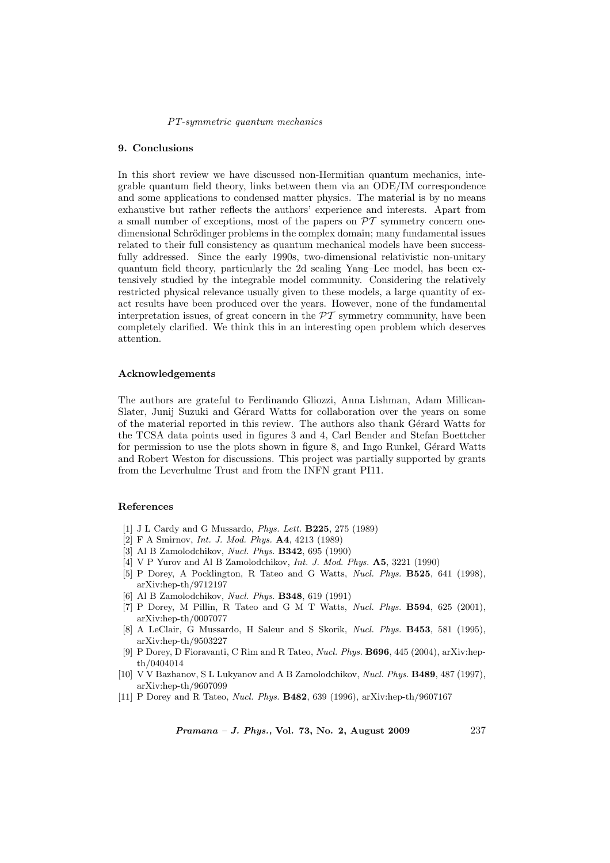# 9. Conclusions

In this short review we have discussed non-Hermitian quantum mechanics, integrable quantum field theory, links between them via an ODE/IM correspondence and some applications to condensed matter physics. The material is by no means exhaustive but rather reflects the authors' experience and interests. Apart from a small number of exceptions, most of the papers on  $\mathcal{PT}$  symmetry concern onedimensional Schrödinger problems in the complex domain; many fundamental issues related to their full consistency as quantum mechanical models have been successfully addressed. Since the early 1990s, two-dimensional relativistic non-unitary quantum field theory, particularly the 2d scaling Yang–Lee model, has been extensively studied by the integrable model community. Considering the relatively restricted physical relevance usually given to these models, a large quantity of exact results have been produced over the years. However, none of the fundamental interpretation issues, of great concern in the  $\mathcal{PT}$  symmetry community, have been completely clarified. We think this in an interesting open problem which deserves attention.

#### Acknowledgements

The authors are grateful to Ferdinando Gliozzi, Anna Lishman, Adam Millican-Slater, Junij Suzuki and Gérard Watts for collaboration over the years on some of the material reported in this review. The authors also thank Gérard Watts for the TCSA data points used in figures 3 and 4, Carl Bender and Stefan Boettcher for permission to use the plots shown in figure 8, and Ingo Runkel, Gérard Watts and Robert Weston for discussions. This project was partially supported by grants from the Leverhulme Trust and from the INFN grant PI11.

### References

- [1] J L Cardy and G Mussardo, Phys. Lett. B225, 275 (1989)
- [2] F A Smirnov, Int. J. Mod. Phys. A4, 4213 (1989)
- [3] Al B Zamolodchikov, Nucl. Phys. B342, 695 (1990)
- [4] V P Yurov and Al B Zamolodchikov, Int. J. Mod. Phys. A5, 3221 (1990)
- [5] P Dorey, A Pocklington, R Tateo and G Watts, Nucl. Phys. B525, 641 (1998), arXiv:hep-th/9712197
- [6] Al B Zamolodchikov, Nucl. Phys. B348, 619 (1991)
- [7] P Dorey, M Pillin, R Tateo and G M T Watts, Nucl. Phys. B594, 625 (2001), arXiv:hep-th/0007077
- [8] A LeClair, G Mussardo, H Saleur and S Skorik, Nucl. Phys. B453, 581 (1995), arXiv:hep-th/9503227
- [9] P Dorey, D Fioravanti, C Rim and R Tateo, Nucl. Phys. B696, 445 (2004), arXiv:hepth/0404014
- [10] V V Bazhanov, S L Lukyanov and A B Zamolodchikov, Nucl. Phys. B489, 487 (1997), arXiv:hep-th/9607099
- [11] P Dorey and R Tateo, Nucl. Phys. B482, 639 (1996), arXiv:hep-th/9607167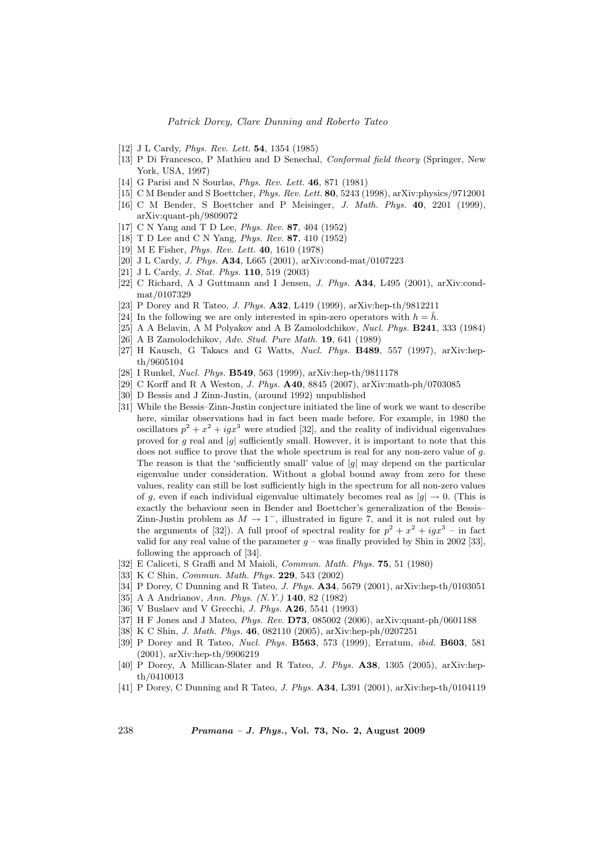- [12] J L Cardy, *Phys. Rev. Lett.* **54**, 1354 (1985)
- [13] P Di Francesco, P Mathieu and D Senechal, Conformal field theory (Springer, New York, USA, 1997)
- [14] G Parisi and N Sourlas, Phys. Rev. Lett. 46, 871 (1981)
- [15] C M Bender and S Boettcher, Phys. Rev. Lett. 80, 5243 (1998), arXiv:physics/9712001
- [16] C M Bender, S Boettcher and P Meisinger, J. Math. Phys. 40, 2201 (1999), arXiv:quant-ph/9809072
- [17] C N Yang and T D Lee, Phys. Rev. 87, 404 (1952)
- [18] T D Lee and C N Yang, Phys. Rev. 87, 410 (1952)
- [19] M E Fisher, Phys. Rev. Lett. 40, 1610 (1978)
- [20] J L Cardy, J. Phys. A34, L665 (2001), arXiv:cond-mat/0107223
- [21] J L Cardy, *J. Stat. Phys.* **110**, 519 (2003)
- [22] C Richard, A J Guttmann and I Jensen, J. Phys. A34, L495 (2001), arXiv:condmat/0107329
- [23] P Dorey and R Tateo, J. Phys. A32, L419 (1999), arXiv:hep-th/9812211
- [24] In the following we are only interested in spin-zero operators with  $h = \bar{h}$ .
- [25] A A Belavin, A M Polyakov and A B Zamolodchikov, Nucl. Phys. B241, 333 (1984)
- [26] A B Zamolodchikov, Adv. Stud. Pure Math. 19, 641 (1989)
- [27] H Kausch, G Takacs and G Watts, Nucl. Phys. B489, 557 (1997), arXiv:hepth/9605104
- [28] I Runkel, Nucl. Phys. B549, 563 (1999), arXiv:hep-th/9811178
- [29] C Korff and R A Weston, J. Phys. A40, 8845 (2007), arXiv:math-ph/0703085
- [30] D Bessis and J Zinn-Justin, (around 1992) unpublished
- [31] While the Bessis–Zinn-Justin conjecture initiated the line of work we want to describe here, similar observations had in fact been made before. For example, in 1980 the oscillators  $p^2 + x^2 + igx^3$  were studied [32], and the reality of individual eigenvalues proved for g real and  $|g|$  sufficiently small. However, it is important to note that this does not suffice to prove that the whole spectrum is real for any non-zero value of q. The reason is that the 'sufficiently small' value of  $|q|$  may depend on the particular eigenvalue under consideration. Without a global bound away from zero for these values, reality can still be lost sufficiently high in the spectrum for all non-zero values of q, even if each individual eigenvalue ultimately becomes real as  $|q| \to 0$ . (This is exactly the behaviour seen in Bender and Boettcher's generalization of the Bessis– Zinn-Justin problem as  $M \to 1^-$ , illustrated in figure 7, and it is not ruled out by the arguments of [32]). A full proof of spectral reality for  $p^2 + x^2 + igx^3 - i$  fact valid for any real value of the parameter  $g$  – was finally provided by Shin in 2002 [33], following the approach of [34].
- [32] E Caliceti, S Graffi and M Maioli, Commun. Math. Phys. 75, 51 (1980)
- [33] K C Shin, *Commun. Math. Phys.* **229**, 543 (2002)
- [34] P Dorey, C Dunning and R Tateo, *J. Phys.* **A34**, 5679 (2001), arXiv:hep-th/0103051
- [35] A A Andrianov, Ann. Phys. (N.Y.) 140, 82 (1982)
- [36] V Buslaev and V Grecchi, *J. Phys.* **A26**, 5541 (1993)
- [37] H F Jones and J Mateo, Phys. Rev. D73, 085002 (2006), arXiv:quant-ph/0601188
- [38] K C Shin, J. Math. Phys. 46, 082110 (2005), arXiv:hep-ph/0207251
- [39] P Dorey and R Tateo, Nucl. Phys. B563, 573 (1999), Erratum, ibid. B603, 581 (2001), arXiv:hep-th/9906219
- [40] P Dorey, A Millican-Slater and R Tateo, J. Phys. A38, 1305 (2005), arXiv:hepth/0410013
- [41] P Dorey, C Dunning and R Tateo, *J. Phys.* **A34**, L391 (2001), arXiv:hep-th/0104119